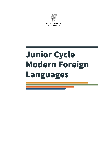

An Roinn Oideachais agus Scileanna

# Junior Cycle Modern Foreign Languages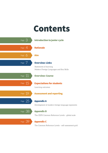# Contents

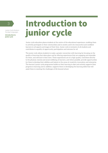**Introduction to junior cycle**

# <sup>3</sup> Introduction to junior cycle

Junior cycle education places students at the centre of the educational experience, enabling them to actively participate in their communities and in society and to be resourceful and confident learners in all aspects and stages of their lives. Junior cycle is inclusive of all students and contributes to equality of opportunity, participation and outcome for all.

The junior cycle allows students to make a greater connection with learning by focusing on the quality of learning that takes place and by offering experiences that are engaging and enjoyable for them, and relevant to their lives. These experiences are of a high quality, contribute directly to the physical, mental and social wellbeing of learners, and where possible, provide opportunities for them to develop their abilities and talents in the areas of creativity, innovation and enterprise. The learner's junior cycle programme builds on their learning to date and actively supports their progress in learning and in addition, supports them in developing the learning skills that will assist them in meeting the challenges of life beyond school.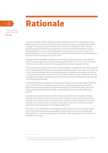

**Rationale** 

**Junior Cycle Modern Foreign Languages**

**Rationale**

The study of modern foreign languages enables students to build on their language learning in English and Irish in primary school and further develops their skills in and enjoyment of using languages. Language learning is accessible to all students and contributes to their cognitive, personal and social growth by enhancing their communicative and thinking skills, as well as their participation in a global society. Being able to communicate in the mother tongue and in foreign languages are also among the eight key competences for lifelong learning identified by the European Union and European Council in 2006<sup>1</sup>.

Language learning develops students' general language awareness. It enhances their ability to analyse how language works, to compare languages, and to reflect on how they learn languages. This has a positive effect on their first language skills and on future language learning.

In learning foreign languages, students are actively engaged in activities and tasks which integrate the five language skills of listening, reading, spoken production, spoken interaction and writing. As a result, they communicate with increasing independence, confidence and creativity. As learning is a social activity as well as a personal one and as communication is central to language, learning languages offers students ample opportunities to work with others to develop their language skills and achieve appropriate goals.

A fundamental feature of languages is that they give students access to new worlds and different ways of thinking. The resulting development of socio-cultural knowledge and intercultural awareness also enhances students' cognitive development. By reflecting on other cultures and making comparisons they develop a deeper understanding of their own while appreciating diversity.

Language learning also broadens students' horizons and enables them to develop a lifelong learning skill for education, leisure and work, and to develop a positive attitude towards other languages and cultures. Modern technologies play a key role in making language learning and language use increasingly more accessible and enjoyable for learners, by facilitating access to information and communication with people at a global level.

The society we live in has become multilingual. Ireland needs to increase its language capacity and to foster plurilingualism (a person's ability to communicate in more than one language). While English is an international language, knowledge of other languages gives us cultural and competitive advantages.

<sup>1</sup> Recommendation 2006/962/EC of the European Parliament and of the Council of 18 December 2006 on key competences for lifelong learning [Official Journal L 394 of 30.12.2006].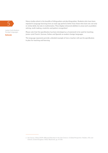

#### **Rationale**

Many studies attest to the benefits of bilingualism and plurilingualism. Students who have been<br>exposed to language learning from an early age perform better than those who have not; not on<br>in verbal skills, but also in ma exposed to language learning from an early age perform better than those who have not; not only in verbal skills, but also in mathematics. They display enhanced abilities in areas such as problemsolving, multi-tasking, creativity and pattern recognition2.

> Please note that this specification has been developed as a framework to be used for teaching junior cycle French, German, Italian and Spanish as modern foreign languages.

The language exponents provide a detailed example of how a teacher will use the specification to plan for teaching and learning.

<sup>2</sup> See García, Ofelia (2009). *Bilingual Education in the 21st Century: A Global Perspective*. Malden, MA and Oxford, United Kingdom: Wiley-Blackwell. pp. 93-108.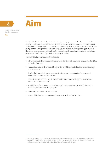



**Aim**

The Specification for Junior Cycle Modern Foreign Languages aims to develop communicative language skills broadly aligned with the A band (A1 to A2, basic user) of the Common European Framework of Reference for Languages (CEFR)<sup>3</sup> and its descriptors. It also aims to enable students to explore the interdependence between language and culture, to develop their appreciation of the relevance of languages to their lives for personal, social, educational, vocational and leisure purposes, and to derive enjoyment from language learning.

More specifically it encourages all students to

- actively engage in language activities and tasks, developing the capacity to understand written and spoken language
- communicate effectively and confidently in the target language in familiar contexts through a range of media
- develop their capacity to use appropriate structures and vocabulary for the purposes of communication, both written and oral
- enjoy a language-learning experience that will facilitate and encourage them to continue learning languages in future
- be reflective and autonomous in their language learning, and become actively involved in monitoring and assessing their progress
- appreciate their own and other cultures
- develop skills that they can apply to other areas of study and to their lives.

<sup>3</sup> Council of Europe. (2001). *Common European Framework of Reference for Languages: Learning, teaching, assessment.* Cambridge: Cambridge University Press. The full text is available on the Council of Europe website: https://www.coe.int/t/dg4/linguistic/Source/Framework\_EN.pdf.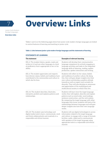

# Overview: Links

**Junior Cycle Modern Foreign Languages** 

**Overview: Links**

Tables 1 and 2 on the following pages show how junior cycle modern foreign languages are linked to central features of learning and teaching in junior cycle.

#### **Table 1: Links between junior cycle modern foreign languages and the statements of learning**

#### **The statement Examples of relevant learning** SOL 2: The student listens, speaks, reads and writes in L2 and one other language at a level of proficiency that is appropriate to her or his ability. Students will develop their communicative language competence by actively engaging in language activities and tasks in the integrated language skills of listening, reading, spoken production, spoken interaction and writing. SOL 6: The student appreciates and respects how diverse values, beliefs and traditions have contributed to the communities and culture in which she/he lives. Students will reflect on the values, beliefs and traditions of another culture. By doing this, they will gain deeper insights into their own culture and develop a positive attitude towards as well as respect and curiosity for diversity. They will also develop an awareness and appreciation of the multilingual and multicultural society in which they live. SOL 16: The student describes, illustrates, interprets, predicts and explains patterns and relationships. Students will learn how the target language works; they will explore, describe and explain patterns such as word order, word endings, sentence construction, and the verb system. By comparing the target language with other languages they know, students will look at the relationships between languages and will gain deeper insights into how their own language works. SOL 24: The student uses technology and digital media tools to learn, communicate, work and think collaboratively and creatively in a responsible and ethical manner. Students will use digital technologies to access information related to the target language and culture, to engage with a range of formats (written, audio, video) and to communicate with speakers of the target language using appropriate tools in a responsible and ethical manner.

#### **STATEMENTS OF LEARNING**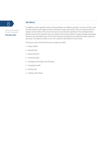

#### **Overview: Links**

In addition to their specific content and knowledge, the subjects and short courses of junior cycle provide students with opportunities to develop a range of key skills. There are opportunities to support all key skills in this course but some are particularly significant. The examples below identify some of the elements that are related to learning activities in modern foreign languages. Teachers can also build many of the other elements of particular key skills into their classroom planning. The eight key skills are set out in detail in Key Skills of Junior Cycle.

The junior cycle curriculum focuses on eight key skills:

- being creative
- being literate
- being numerate
- communicating
- managing information and thinking
- managing myself
- staying well
- working with others.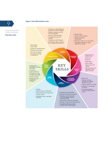#### **Overview: Links**



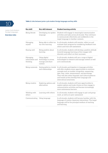

#### **Table 2: Links between junior cycle modern foreign languages and key skills**

**Junior Cycle Modern Foreign Languages** 

#### **Overview: Links**

| Key skill                               | Key skill element                                                     | <b>Student learning activity</b>                                                                                                                                                                                                                                                                                                                          |  |  |
|-----------------------------------------|-----------------------------------------------------------------------|-----------------------------------------------------------------------------------------------------------------------------------------------------------------------------------------------------------------------------------------------------------------------------------------------------------------------------------------------------------|--|--|
| Being literate                          | Developing my spoken<br>language                                      | Students will engage in meaningful communicative<br>activities and tasks across all strands. They will learn<br>to communicate effectively and confidently in the<br>target language in familiar contexts.                                                                                                                                                |  |  |
| Managing<br>myself                      | Being able to reflect on<br>my own learning                           | In all strands, students will monitor, reflect on and<br>evaluate their progress by considering feedback from<br>others and from self-assessment.                                                                                                                                                                                                         |  |  |
| Staying well                            | Being positive about<br>learning                                      | In all strands, students will develop a positive attitude<br>towards language learning as they engage with<br>diversity and reflect on their successes.                                                                                                                                                                                                   |  |  |
| Managing<br>information and<br>thinking | Using digital<br>technology to access,<br>manage and share<br>content | In all strands, students will use a range of digital<br>technologies to research and manage content as well<br>as to communicate.                                                                                                                                                                                                                         |  |  |
| Being numerate                          | Seeing patterns, trends<br>and relationships                          | In all strands, participation in language activities<br>will offer students many opportunities to reinforce<br>concepts such as number recognition, sequencing,<br>date, time, value, measurement, and percentage.<br>They will also notice linguistic and cultural patterns<br>and trends as they develop their language and<br>intercultural awareness. |  |  |
| Being creative                          | Exploring options and<br>alternatives                                 | In all strands, students will have opportunities to<br>explore options and make choices as they engage in<br>communicative activities and become increasingly<br>more autonomous learners.                                                                                                                                                                |  |  |
| Working with<br>others                  | Learning with others                                                  | In all strands, students will engage in pair and group<br>work, as well as in peer-assessment                                                                                                                                                                                                                                                             |  |  |
| Communicating                           | Using language                                                        | In all strands, students will become familiar with the<br>language of routine classroom interactions. The target<br>language will be the principal medium of teaching<br>and learning.                                                                                                                                                                    |  |  |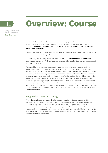

**Overview: Course**

# Overview: Course

The Specification for Junior Cycle Modern Foreign Languages is designed for a minimum of 200 hours of timetabled student engagement, and is organised around three integrated strands: **Communicative competence, Language awareness** and **Socio-cultural knowledge and intercultural awareness.**

These strands are each further broken down into elements and the learning outcomes associated with each element are also specified.

Students' language learning is actively supported when their **Communicative competence, Language awareness** and **Socio-cultural knowledge and intercultural awareness** are developed in an integrated way.

The strand Communicative competence is concerned with developing students' ability to communicate meaningfully in the target language. This strand incorporates five elements, representing the five language skills of listening, reading, spoken production, spoken interaction and writing. The strand Language awareness enhances the students' general awareness about languages, and incorporates the three elements of reflecting on how the target language works, comparing the target language with other languages students know, and reflecting on their own language-learning strategies. The third strand, Socio-cultural knowledge and intercultural awareness, gives students access to new cultural dimensions and encourages them to reflect on their own culture. The three elements of this strand develop students' knowledge of the countries and cultures related to the target languages, and enable them to make comparisons with their own country and culture.

### Integrated teaching and learning

While the learning outcomes associated with each strand are set out separately in this specification, this should not be taken to imply that the strands are to be studied in isolation. Students' engagement and learning are optimised by a fully integrated experience of Communicative competence, Language awareness, Socio-cultural knowledge and intercultural awareness. Likewise, grammar, syntax and pronunciation have been embedded so these aspects of language learning are taught in a communicative context. Figure 2 below illustrates the interrelatedness of the three strands.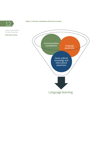

**Overview: Course**

## Figure 2: The inter-relatedness of the three strands<br> **1**  $\bigcirc$

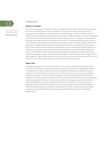

**Overview: Course**

#### Progression

#### **Primary curriculum**

The Primary Language Curriculum (2015) is an integrated curriculum, with the same curriculum structure and components for Irish and English. It recognises that developing skills in one language will help children to develop skills in another language. It seeks to develop not only communicative competence in English and Irish, but also a lifelong interest in and love of language learning for personal enjoyment and enrichment. It aims to nurture in children an awareness of language and an appreciation of the content and structure of language. While the main focus is on meaningful communication, and children are taught through the target language, there is also provision for explicit teaching of form, including certain features of grammar. The curriculum aims to help children become motivated, autonomous learners of language. All these features of the Primary Language Curriculum sit well with the rationale and aims of the Specification for Junior Cycle Modern Foreign Languages and build a good foundation for students' learning of additional languages in junior cycle and beyond. Similarly, students whose mother tongue is other than English or Irish will have skills on which to build an awareness of language and its structure that they will be able to apply when they undertake a MFL in junior cycle.

#### **Senior cycle**

As students progress from junior cycle to senior cycle, they are afforded many opportunities to build on their previous language-learning experiences. For many, these opportunities begin in Transition Year, where students may further explore the language and associated cultures which they have studied in junior cycle and/or experience learning a new language. Students who choose to study a modern foreign language for Leaving Certificate will benefit from the continuity and close alignment between the three junior cycle strands and the Leaving Certificate behavioural objectives of Basic communicative proficiency, Language awareness and Cultural awareness. Building on the learning outcomes of junior cycle MFL, the Leaving Certificate syllabuses aim to further develop learner autonomy and to help students develop strategies for effective language learning. In addition, the learning of a modern foreign language is integral to both the Leaving Certificate Vocational Programme (LCVP) and the Leaving Certificate Applied (LCA).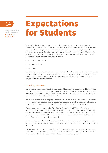

**Expectations for students**

# **Expectations** for Students

*Expectations for students* is an umbrella term that links learning outcomes with annotated examples of student work. When teachers, students or parents looking at the online specification scroll over the learning outcomes, a link will sometimes be available to examples of work associated with a specific learning outcome or with a group of learning outcomes. The examples of student work will have been selected to illustrate expectations and will have been annotated by teachers. The examples will include work that is:

- in line with expectations
- above expectations
- exceptional.

The purpose of the examples of student work is to show the extent to which the learning outcomes are being realised. Examples of student work annotated by teachers will be developed over time. The examples of student work linked to learning outcomes will also offer commentary and insights that support differentiation.

#### Learning outcomes

*Learning outcomes* are statements that describe what knowledge, understanding, skills and values students should be able to demonstrate having studied modern foreign languages in junior cycle. Across all of the strands, students should be given every opportunity to use a range of media to display and present what they have learned.

Junior cycle modern foreign languages are offered at a common level. The learning outcomes set out in the following tables have therefore been developed as unconstrained outcomes to apply to all students. They lend themselves to differentiated teaching, learning and assessment.

The learning outcomes are broadly aligned to the A band of the CEFR (A1-A2) and as set out here they represent outcomes for students at the end of their three years of study. The learning outcomes are for three years and therefore the learning outcomes focused on at a point in time will not have been 'completed', but will continue to support the students' learning of modern foreign languages up to the end of junior cycle.

The outcomes are numbered within each strand. The numbering is intended to support teacher planning in the first instance and does not imply any hierarchy of importance across the outcomes themselves.

The learning outcomes describe clearly what students will be expected to achieve and should be able to do in the target language. They refer to specific domains of language use (public, personal and educational), which are appropriate to the students' age and experience.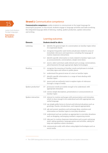

**Expectations for students**

## **Strand 1:** Communicative competence

**Communicative competence** enables students to communicate in the target language for meaningful purposes. In this strand, students engage in language activities and tasks involving the integrated language skills of listening, reading, spoken production, spoken interaction and writing.

#### Learning outcomes

| Listening<br>1.1<br>identify the general topic of a conversation on familiar topics when<br>it is expressed clearly<br>1.2<br>recognise frequently-used words and phrases related to areas of<br>immediate relevance and experience, including the language of<br>routine classroom interactions<br>1.3<br>identify specific information in texts related to familiar topics such<br>as announcements, conversations, simple news items<br>1.4<br>source, select and share audio stimuli such as songs, conversations,<br>advertisements through appropriate digital technologies<br>Reading<br>$1.5\,$<br>recognise the meaning of familiar words and phrases to include<br>everyday signs and notices in public places<br>1.6<br>understand the general sense of a text on familiar topics<br>1.7<br>identify specific information in a range of texts dealing with<br>familiar topics<br>1.8<br>source and use authentic texts to explore topics of relevance<br>through a range of media<br>Spoken production <sup>4</sup><br>1.9<br>pronounce words accurately enough to be understood, with<br>appropriate intonation | <b>Elements</b> | Students should be able to |
|-----------------------------------------------------------------------------------------------------------------------------------------------------------------------------------------------------------------------------------------------------------------------------------------------------------------------------------------------------------------------------------------------------------------------------------------------------------------------------------------------------------------------------------------------------------------------------------------------------------------------------------------------------------------------------------------------------------------------------------------------------------------------------------------------------------------------------------------------------------------------------------------------------------------------------------------------------------------------------------------------------------------------------------------------------------------------------------------------------------------------------|-----------------|----------------------------|
|                                                                                                                                                                                                                                                                                                                                                                                                                                                                                                                                                                                                                                                                                                                                                                                                                                                                                                                                                                                                                                                                                                                             |                 |                            |
|                                                                                                                                                                                                                                                                                                                                                                                                                                                                                                                                                                                                                                                                                                                                                                                                                                                                                                                                                                                                                                                                                                                             |                 |                            |
|                                                                                                                                                                                                                                                                                                                                                                                                                                                                                                                                                                                                                                                                                                                                                                                                                                                                                                                                                                                                                                                                                                                             |                 |                            |
|                                                                                                                                                                                                                                                                                                                                                                                                                                                                                                                                                                                                                                                                                                                                                                                                                                                                                                                                                                                                                                                                                                                             |                 |                            |
|                                                                                                                                                                                                                                                                                                                                                                                                                                                                                                                                                                                                                                                                                                                                                                                                                                                                                                                                                                                                                                                                                                                             |                 |                            |
|                                                                                                                                                                                                                                                                                                                                                                                                                                                                                                                                                                                                                                                                                                                                                                                                                                                                                                                                                                                                                                                                                                                             |                 |                            |
|                                                                                                                                                                                                                                                                                                                                                                                                                                                                                                                                                                                                                                                                                                                                                                                                                                                                                                                                                                                                                                                                                                                             |                 |                            |
|                                                                                                                                                                                                                                                                                                                                                                                                                                                                                                                                                                                                                                                                                                                                                                                                                                                                                                                                                                                                                                                                                                                             |                 |                            |
|                                                                                                                                                                                                                                                                                                                                                                                                                                                                                                                                                                                                                                                                                                                                                                                                                                                                                                                                                                                                                                                                                                                             |                 |                            |
| 1.10 convey simple descriptions, presentations or announcements on<br>familiar topics                                                                                                                                                                                                                                                                                                                                                                                                                                                                                                                                                                                                                                                                                                                                                                                                                                                                                                                                                                                                                                       |                 |                            |
| Spoken interaction<br>1.11 interact in routine exchanges with pronunciation and intonation<br>which is clear enough to be understood and with appropriate non-<br>verbal language                                                                                                                                                                                                                                                                                                                                                                                                                                                                                                                                                                                                                                                                                                                                                                                                                                                                                                                                           |                 |                            |
| 1.12 use simple polite forms in formal and informal situations such as<br>greetings, thanks, introductions, and respond appropriately                                                                                                                                                                                                                                                                                                                                                                                                                                                                                                                                                                                                                                                                                                                                                                                                                                                                                                                                                                                       |                 |                            |
| 1.13 ask and answer questions and exchange ideas, emotions and<br>information on familiar topics in everyday situations                                                                                                                                                                                                                                                                                                                                                                                                                                                                                                                                                                                                                                                                                                                                                                                                                                                                                                                                                                                                     |                 |                            |
| 1.14 understand and use numbers as appropriate in everyday situations<br>such as shopping, exchanging numbers, sequencing events                                                                                                                                                                                                                                                                                                                                                                                                                                                                                                                                                                                                                                                                                                                                                                                                                                                                                                                                                                                            |                 |                            |
| 1.15 take part in routine classroom interactions such as pair and group<br>work, asking questions, language games and activities, asking for<br>help and repetition where necessary                                                                                                                                                                                                                                                                                                                                                                                                                                                                                                                                                                                                                                                                                                                                                                                                                                                                                                                                         |                 |                            |
| 1.16 communicate orally with others using digital technologies such as<br>social media                                                                                                                                                                                                                                                                                                                                                                                                                                                                                                                                                                                                                                                                                                                                                                                                                                                                                                                                                                                                                                      |                 |                            |

<sup>4</sup> The CEFR distinguishes between the oral skills of spoken production and spoken interaction.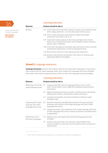

**Junior Cycle Modern Foreign Languages Expectations** 

| LAPCCLULIVIIJ |  |
|---------------|--|
|               |  |
| for students  |  |
|               |  |

|                                        |          | Learning outcomes                                                                                                                                                                             |  |  |
|----------------------------------------|----------|-----------------------------------------------------------------------------------------------------------------------------------------------------------------------------------------------|--|--|
|                                        | Elements | Students should be able to                                                                                                                                                                    |  |  |
| unior Cycle Modern<br>oreign Languages | Writing  | 1.17 write words and create short sentences using various media (emails,<br>letters, blogs, postcards) on everyday topics with accuracy                                                       |  |  |
| xpectations<br>or students             |          | 1.18 write a series of phrases and sentences linked with simple<br>connectors such as but, and, or, as                                                                                        |  |  |
|                                        |          | 1.19 create texts <sup>5</sup> about aspects of their lives and topics that interest<br>them such as family and friends, school, holidays, leisure activities,<br>fashion, sport, celebrities |  |  |
|                                        |          | 1.20 write short descriptions of present, past and future events, activities<br>and personal experiences, as well as imaginative texts                                                        |  |  |
|                                        |          | 1.21 fill out forms relevant to their age group and experience                                                                                                                                |  |  |
|                                        |          | 1.22 produce and edit texts and interact with others in writing using<br>appropriate digital technologies                                                                                     |  |  |

### **Strand 2: Language awareness**

**Language awareness** enhances the students' general awareness about languages. In this strand, they analyse how the target language works, they compare the languages they know (English, Irish and/or their mother tongue) and they reflect on their own language-learning strategies.

#### Learning outcomes

| <b>Elements</b>                                                    | Students should be able to |                                                                                                                                                               |  |
|--------------------------------------------------------------------|----------------------------|---------------------------------------------------------------------------------------------------------------------------------------------------------------|--|
| Reflecting on how the<br>target language works                     | 2.1                        | recognise, describe and use language patterns such as word<br>order, verbal system, nouns, adjectives, spelling and punctuation<br>conventions                |  |
|                                                                    |                            | 2.2 apply all language learning to creative activities such as producing<br>simple poems, posters, presentations, games and drama                             |  |
|                                                                    | 2.3                        | recognise how gender and social conventions influence target<br>language usage                                                                                |  |
| Comparing the target<br>language with other<br>languages they know |                            | 2.4 identify similarities and differences between the pronunciation,<br>intonation and rhythm of the target language and that of other<br>languages they know |  |
|                                                                    |                            | 2.5 compare grammar and vocabulary of the target language with that<br>of other languages they know, making connections and distinctions<br>as appropriate    |  |
| Reflecting on how<br>they learn languages                          |                            | 2.6 identify, share and explain their preferred language-learning<br>strategies                                                                               |  |
|                                                                    | 2.7                        | monitor and assess their own learning, using feedback they<br>receive to reflect on what they need to improve and to set goals for<br>improvement             |  |
|                                                                    |                            |                                                                                                                                                               |  |

<sup>5</sup> 'Text' refers to all products of language use, including oral, written and digital text.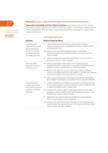

**Expectations for students**

## 17 **Strand 3:** Socio-cultural knowledge and intercultural awareness

**Socio-cultural knowledge and intercultural awareness** gives students access to new cultural dimensions and encourages them to reflect on their own culture. In this strand, students acquire cultural information about the target country/countries and are encouraged to compare other cultures to their own.

## Learning outcomes

| Elements                                                          | Students should be able to |                                                                                                                                                                                                |  |
|-------------------------------------------------------------------|----------------------------|------------------------------------------------------------------------------------------------------------------------------------------------------------------------------------------------|--|
| Learning about<br>relevant facts, people,<br>places and history   | 3.1                        | name and describe some features of the target language<br>country/countries such as geographical features, weather, places<br>and landmarks, food                                              |  |
| about the country/<br>countries related to<br>the target language | 3.2                        | discover and use facts and figures related to the target<br>country/countries such as statistical data, festivals, inventions,<br>famous people                                                |  |
|                                                                   |                            | 3.3 reflect on what they have learned about the country/countries<br>associated with the target language                                                                                       |  |
| Learning about<br>traditions, customs<br>and behaviours           | 3.4                        | identify and explain some aspects of the target language<br>country/countries in areas such as everyday living, interpersonal<br>relations, customs and behaviours, social conventions         |  |
|                                                                   | 3.5                        | identify and reflect on common stereotypes about the target<br>culture/s, including their own, and explain if and how their attitude<br>towards the target country/countries is evolving       |  |
|                                                                   | 3.6                        | select, process and present information through the appropriate<br>use of digital technologies, and evaluate it for truth and reliability                                                      |  |
| Comparing their<br>culture with that of<br>the country/countries  | 3.7                        | analyse similarities and differences in relation to their peers' lives<br>in the target language country/countries in areas of daily life such<br>as school, socialising, sport, eating habits |  |
| related to the target<br>language                                 | 3.8                        | compare and contrast aspects of personal interest in the target<br>language country/countries with those in their own country and<br>present them using a range of media                       |  |
|                                                                   | 3.9                        | appreciate how cultural differences influence social relations,<br>such as in greetings and eating together                                                                                    |  |
|                                                                   |                            | 3.10 compare and contrast the use of numbers in the target language<br>country/countries and in their own, with regard to familiar topics<br>such as prices, age, dates, seasons               |  |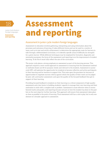

**Assessment and reporting**

# Assessment and reporting

#### Assessment in junior cycle modern foreign languages

Assessment in education involves gathering, interpreting and using information about the processes and outcomes of learning. It takes different forms and can be used in a variety of ways, such as to test and certify achievement, to determine the appropriate route for learners to take through a differentiated curriculum, or to identify specific areas of difficulty (or strength) for a given learner. While different techniques may be employed for formative, diagnostic and summative purposes, the focus of the assessment and reporting is on the improvement of student learning. To do this it must fully reflect the aim of the curriculum.

The junior cycle places a strong emphasis on assessment as part of the learning process. This approach requires a more varied approach to assessment in ensuring that the assessment method or methods chosen are fit for purpose, timely and relevant to the students. Assessment in junior cycle MFL will optimise the opportunity for students to become reflective and active participants in their learning and for teachers to support this. This rests upon the provision for learners of opportunities to negotiate success criteria against which the quality of their work can be judged by peer, self, and teacher assessment; and upon the quality of the focused feedback they get in support of their learning.

Providing focused feedback to students on their learning is a critical component of high-quality assessment and a key factor in building students' capacity to manage their own learning and their motivation to stick with a complex task or problem. Assessment is most effective when it moves beyond marks and grades, and reporting focuses not just on how the student has done in the past but on the next steps for further learning. This approach will ensure that assessment takes place as close as possible to the point of learning. Final assessment still has a role to play, but is only one element of a broader approach to assessment.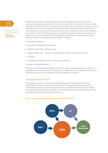

**Assessment and reporting**

Essentially, the purpose of assessment and reporting at this stage of education is to support<br>learning. Parents/guardians should receive a comprehensive picture of student learning. Lii<br>classroom assessment and other asses learning. Parents/guardians should receive a comprehensive picture of student learning. Linking classroom assessment and other assessment with a new system of reporting that culminates in the awarding of the Junior Cycle Profile of Achievement (JCPA) will offer parents/guardians a clear and broad picture of their child's learning journey over the three years of junior cycle. To support this, teachers and schools will have access to an Assessment Toolkit. Along with the guide to the Subject Learning and Assessment Review (SLAR) process, the Assessment Toolkit will include learning, teaching and assessment support material, including:

- formative assessment
- planning for and designing assessment
- assessment activities for classroom use
- judging student work looking at expectations for students and features of quality
- reporting
- thinking about assessment: ideas, research and reflections
- glossary of assessment terms.

The contents of the Assessment Toolkit will include a range of assessment supports, advice and guidelines which will enable schools and teachers to engage with the new assessment system and reporting arrangements in an informed way, with confidence and clarity.

#### Assessment for the JCPA

The assessment of junior cycle modern foreign languages for the purposes of the Junior Cycle Profile of Achievement (JCPA) will comprise two Classroom-Based Assessments (Oral communication and The student language portfolio), an Assessment Task linked to the Student Language Portfolio and a final examination. The Assessment Task and the final examination will be assessed by the State Examinations Commission.



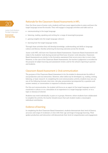

**Assessment and reporting**

**20** Rationale for the Classroom-Based Assessments in MFL<br>Over the three years of junior cycle, students will have many opportunities to enjoy and learn the target language across the strands. They will engage in language activities and tasks such as

- communicating in the target language
- listening, reading, speaking and writing for a range of meaningful purposes
- gaining insights into the target language culture/s
- learning how the target language works.

Through these activities they will develop knowledge, understanding and skills in language, culture and literacy, thereby achieving the learning outcomes across the strands.

Junior cycle MFL will have two Classroom-Based Assessments. Classroom-Based Assessments will relate to the students' work during second and third year of junior-cycle education. Classroom-Based Assessments are similar to the formative assessment that occurs every day in every class. However, in the case of the Classroom-Based Assessments, the teacher's judgement is recorded for the purpose of subject learning and assessment review, and for the school's reporting to parents and students.

#### Classroom-Based Assessment 1: Oral communication

The purpose of this Classroom-Based Assessment is for the student to demonstrate the skills of oral production and oral interaction. However, other skills may be developed, e.g. reading, writing, listening, or basic research. In completing the oral communication activity, students may use any one of the following formats: interview, role-play, presentation (accompanied by a question-andanswer session), or conversation in response to stimulus material.

For this oral communication, the student will focus on an aspect of the target language country/ countries) or culture; or on a simulation of an experience in a target language country; or on a topic or stimulus of interest.

Students may work individually, in pairs or in groups. However, where students have collaborated to complete the activity, the teacher should ensure that each student makes a meaningful individual contribution.

#### Evidence of learning

In completing the first Classroom-Based Assessment, students demonstrate their level of fluency, accuracy and range of vocabulary, in line with their age and stage of language learning. Their spoken production and interaction will demonstrate their level of comprehension and engagement.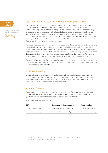

**Assessment and reporting**

### 21 Classroom-Based Assessment 2: The student language portfolio

Over the three years of junior cycle, each student develops a language portfolio. The student language portfolio focuses on the process of language learning and places the learner at the centre of teaching, assessment and learning. It provides the MFL student with an opportunity to set personal learning goals across the five skills in strand one, to engage with and reflect on their language learning as outlined in strand two and to develop and document their sociocultural awareness, thereby supporting the learning outcomes in strand three. Using the student language portfolio supports formative assessment in the MFL classroom and facilitates students in showcasing their language-learning achievements.

The student language portfolio will include a broad range of items, such as written texts, projects, audio-visual materials, learning logs, student reflections and learning goals. It is recognised that in this context the student's created texts<sup>6</sup> may be presented in different formats—handwritten, digital, multi-modal, and so on. Students learn a lot from the process of language acquisition when they are taught how to use a portfolio to document and reflect on their learning. They need to develop confidence in interaction and an awareness of the process of language acquisition.

The second Classroom-Based Assessment offers students a chance to celebrate their achievements as language learners in a variety of media by choosing three pieces from those compiled over time and presenting them for assessment.

## Evidence of learning

In completing the second Classroom-Based Assessment, each student selects three texts for assessment from their portfolio. The three pieces the student selects will reflect the integrated development of the three strands, with one of the pieces selected to be in an oral format. The pieces should also reflect a variety of presentation modes.

## Features of quality

Features of quality support student and teacher judgement of the Classroom-Based Assessments and are the criteria that will be used by teachers to assess the pieces of student work. Features of quality will be provided in the assessment guidelines for junior cycle MFL.

All students will complete both CBAs.

| <b>CBA</b>                     | Completion of the assessment    | $SLAR7$ meeting    |
|--------------------------------|---------------------------------|--------------------|
| Oral communication             | Towards the end of second year  | One review meeting |
| The student language portfolio | End of first term in third year | One review meeting |

<sup>6</sup> 'Text' refers to all products of language use including oral, written and digital text.

<sup>7</sup> Subject Learning and Assessment Review.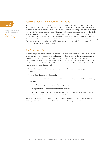

**Assessment and reporting**

### Assessing the Classroom-Based Assessments

More detailed material on assessment for reporting in junior cycle MFL, setting out details of the practical arrangements related to assessment of the Classroom-Based Assessments, will be available in separate assessment guidelines. These will include, for example, the suggested length and formats for the oral communication CBA, and guidelines for using and presenting the student language portfolio for the second CBA. It will also provide features of quality for both CBAs and support in using 'on-balance' judgement in relation to the features of quality. The NCCA's Assessment Toolkit will also include substantial resource material for use and reference in ongoing classroom assessment of junior cycle MFL, as well as providing a detailed account of the Subject Learning and Assessment Review process.

#### The Assessment Task

Students complete a formal written Assessment Task to be submitted to the State Examinations Commission for marking along with the final examination for modern foreign languages. It is allocated 10% of the marks used to determine the grade awarded by the State Examinations Commission. The Assessment Task is specified by the NCCA and related to the learning outcomes on which the second Classroom-Based Assessment is based. The Assessment Task is devised from some or all of the following elements:

- A short stimulus in written, audio, audio-visual or multi-modal format to prepare for the written task.
- A written task that tests the students in
	- their ability to outline and/or discuss their experience of compiling a portfolio of language learning
	- their understanding and evaluation of that experience
	- their capacity to reflect on the skills they have developed
	- their understanding of a cultural aspect of the target language country about which there will be evidence of learning in the student's portfolio.

As the key purpose of the Assessment Task is to encourage student reflection on the process of language learning, the questions and answers will be in the language of schooling<sup>8</sup>.

<sup>8</sup> The language of schooling is the principal language of teaching and learning in the school.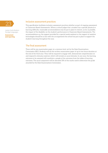

**Assessment and reporting**

#### Inclusive assessment practices

This specification facilitates inclusive assessment practices whether as part of ongoing assessment or Classroom-Based Assessments. Where a school judges that a student has a specific physical or learning difficulty, reasonable accommodations may be put in place to remove, as far as possible, the impact of the disability on the student's performance in Classroom-Based Assessments. The accommodations e.g. the support provided by a special needs assistant or the support of assistive technologies should be in line with the arrangements the school has put in place to support the student's learning throughout the year.

#### The final assessment

There will be one examination paper at a common level, set by the State Examinations Commission (SEC). Students will sit this written examination paper of up to two hours duration at the end of the third year. They will be required to engage with, demonstrate comprehension of, and respond to stimulus material, which will include an aural stimulus. In any year, the learning outcomes to be assessed will constitute a sample of the outcomes from the tables of learning outcomes. The aural component will be allocated 35% of the marks used to determine the grade awarded by the State Examinations Commission.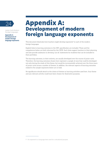

**Appendix A: Development of modern foreign language exponents** 

# 24 Appendix A: Development of modern foreign language exponents

This document illustrates how teachers might develop exponents<sup>9</sup> in each of the modern foreign languages.

Explicit links to learning outcomes in the MFL specification are included. These and the competences below are both informed by the CEFR. Such links support teachers in their planning and also provide assistance in devising 'can do' statements for students that can be included in their portfolios.

The learning outcomes, in their entirety, are usually developed over the course of junior cycle. Therefore, the learning outcomes chosen here represent a sample of ones that could be developed not only during the study of this theme, but would be incrementally achieved over the three years of junior cycle across a number of themes. In addition, the relevant aspects of learning outcomes related to the sample exponents below are in bold.

No significance should attach to the choice of themes or learning activities used here. Any theme and any relevant activity could have been chosen for illustrative purposes.

<sup>9</sup> An exponent is a language item used for a situational purpose.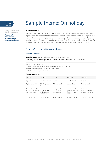

**Appendix A: Development of modern foreign language exponents** 

# Sample theme: On holiday

#### **Activities or tasks:**

Role-play booking a flight in target language (TL); complete a mock online booking form for a flight; have a conversation with a friend about a holiday you were on; create signs to place on a reproduction map of the capital city of the TL country; role-play a tourist asking a police officer for directions to a famous landmark in the country of the TL; design an advert in the TL for the facilities of a small hotel; write an essay on a holiday (real or imaginary) in the country of the TL…

#### Strand: Communicative competence

#### **Element: Listening**

**Learning outcomes\*** *(From the Specification for Junior Cycle MFL)* 1.3 **Identify specific information in texts related to familiar topics** such as announcements,

**conversations,** simple news items

#### **Competences** *(Informed by the CEFR)*

Students can understand (and give) simple directions and instructions Students can name places and landmarks in a town Students can use the present simple

#### **Sample exponents:**

| English                                                        | German                                                       | Italian                                            | Spanish                                                          | French                                                              |
|----------------------------------------------------------------|--------------------------------------------------------------|----------------------------------------------------|------------------------------------------------------------------|---------------------------------------------------------------------|
| Express                                                        | Sich ausdrücken                                              | Espresso                                           | Rápido, exprés                                                   | Rapide/express                                                      |
| Flight number X                                                | Die Flugnummer Volo numero X<br>Χ                            |                                                    | Vuelo número                                                     | Vol numéro X                                                        |
| The weather in (TL)<br>country) will be wet<br>and windy today | Das Wetter<br>ist heute nass<br>und windig in<br>Deutschland | Il tempo in Italia<br>sarà umido e<br>ventoso oggi | Hoy en (nombre<br>del país o ciudad)<br>lloverá y hará<br>viento | Il fera du vent et il<br>pleuvra aujourd'hui<br>en / au /aux (pays) |
| I live in Ireland                                              | Ich wohne in<br>Irland                                       | Abito in Irlanda                                   | Vivo en Irlanda                                                  | J'habite en Irlande                                                 |

<sup>\*</sup> Note that the words in bold indicate the aspects of the learning outcomes in focus.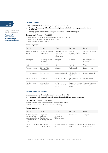

**Appendix A: Development of modern foreign language exponents** 

26 **Element: Reading Learning outcomes\*** *(From the Specification for Junior Cycle MFL)* 

- 1.5 **Recognise the meaning of familiar words and phrases to include everyday signs and notices in public places**
- 1.7 **Identify specific information** in a range of texts **dealing with familiar topics**

#### **Competences** *(Informed by the CEFR)*

Students can understand (and give) simple directions and instructions

Students can name places and landmarks in a town

Students can use the present simple

#### **Sample exponents:**

| English                       | German                             | Italian                                                                | Spanish                                                                                       | French                           |
|-------------------------------|------------------------------------|------------------------------------------------------------------------|-----------------------------------------------------------------------------------------------|----------------------------------|
| Airport, train/bus<br>station | Der Flughafen, Der<br>Bahnhof, ZOB | Aeroporto, stazione<br>ferroviaria/<br>degli autobus<br>(autostazione) | Aeropuerto,<br>tren, estación de<br>autobuses                                                 | Aéroport, gare/gare<br>routière  |
| Passengers                    | Die Passagiere, Die<br>Fahrgäste   | Passeggeri                                                             | Pasajeros                                                                                     | Les passagers / les<br>voyageurs |
| Luggage                       | Das Gepäck                         | Bagagli                                                                | Equipaje                                                                                      | <b>Bagages</b>                   |
| Town/city centre              | Die Stadt/Das<br>Stadtzentrum      | Città/centro                                                           | Pueblo, ciudad<br>La plaza mayor                                                              | Le centre-ville                  |
| The main square               | Der Marktplatz                     | La piazza principale                                                   | A la derecha, a la<br>izquierda                                                               | La place principale              |
| On the left /right            | links/rechts                       | a sinistra/a destra                                                    | a la izquierda/ a la<br>direcha                                                               | à gauche /à droite               |
| Turn left/right/<br>around    | gehen Sie(nach)<br>links/rechts    | Giri/Gira a<br>sinistra/a destra/<br>intorno                           | Gira a la izquierda, a Tourne / Tournez à<br>la derecha, da media droite / à gauche<br>vuelta |                                  |

#### **Element: Spoken production**

**Learning outcomes\*** *(From the Specification for Junior Cycle MFL)*

#### 1.9 **Pronounce words accurately enough to be understood with appropriate intonation**

#### **Competences** *(Informed by the CEFR)*

Students can pronounce words and simple statements accurately Students can use appropriate intonation for questioning

#### **Sample exponents:**

| English                                                                                         | German                                                     | Italian                                        | Spanish                                        | French       |
|-------------------------------------------------------------------------------------------------|------------------------------------------------------------|------------------------------------------------|------------------------------------------------|--------------|
| Challenging words<br>will be provided in<br>each language here,<br>e.g. aeroporto in<br>Italian | Flughafen,<br>Parkhaus,<br>Fahrkarten,<br>Ausgang/Ausfahrt | Aeroporto,<br>parcheggio,<br>biglietto, uscita | Aereopuerto                                    | Aéroport     |
| Do I write my name<br>here?                                                                     | Soll ich hier<br>unterschreiben?                           | Scrivo il mio nome<br>qui?                     | ¿Escribo mi nombre Est-ce que je mets<br>aquí? | mon nom ici? |

<sup>\*</sup> Note that the words in bold indicate the aspects of the learning outcomes in focus.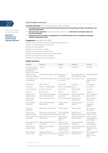

#### **Appendix A: Development of modern foreign language exponents**

**Element: Spoken interaction<br>
<b>Learning outcomes\*** *(From the Specification for Junior Cycle MFL)* 

1.12 **Use simple polite forms in formal and informal situations such as greetings, thanks, introductions, and respond appropriately**

- 1.13 **Ask and answer questions,** and exchange ideas, emotions and **information on familiar topics and everyday situations**
- 1.14 **Understand and use numbers as appropriate in everyday situations such as shopping, exchanging numbers, sequencing events**

#### **Competences** *(Informed by the CEFR)*

Students can greet people accurately, using the appropriate forms Students can provide personal information Students can pose questions Students can ask someone to repeat Students can ask someone to speak slowly Students can use gesture to keep communication going Students can understand and use numbers Students can understand and interpret prices

#### **Sample exponents:**

3

| English                                                                        | German                                                                  | Italian                                             | Spanish                                                 | French                                                 |
|--------------------------------------------------------------------------------|-------------------------------------------------------------------------|-----------------------------------------------------|---------------------------------------------------------|--------------------------------------------------------|
| Grammar related<br>to formal/informal<br>greeting (You<br>singular/You plural) | Du/Sie                                                                  | Tu/Lei                                              | Tú/Usted                                                | Tu/Vous                                                |
| Good morning/<br>afternoon/evening                                             | guten Morgen, guten Abend Buongiorno/                                   | Buonasera                                           | Buenos días/Buenas<br>tardes/Buenas noches              | Bonjour/Bonsoir                                        |
| I would like a bowl<br>of soup please                                          | Ich möchte eine Suppe, bitte Vorrei una zuppa,                          | per favore                                          | Una sopa, por favor                                     | Je prendrais une<br>soupe s'il vous<br>plaît           |
| My name is                                                                     | Mein Name ist                                                           | Mi chiamo                                           | Me llamo                                                | Je m'appelle                                           |
| I am from                                                                      | Ich bin (+ Nationalität)                                                | Sono (+ nazionalità) Soy de                         |                                                         | Je viens de                                            |
| I am X years old                                                               | Ich bin X Jahre alt                                                     | Ho X anni                                           | Tengo X años                                            | J'ai X ans                                             |
| I live in                                                                      | Ich wohne in                                                            | Abito a                                             | Vivo en                                                 | J'habite `a                                            |
| Where is the<br>nearest beach?                                                 | Wie komme ich am besten<br>zum nächsten Strand?                         | Dov'è la spiaggia<br>più vicina?                    | ¿Dónde está la playa<br>más cercana?                    | Où est la plage la<br>plus proche?                     |
| Where is the<br>restaurant?                                                    | Wo ist das Restaurant?                                                  | Dov'è il ristorante? ¿Dónde está el                 | restaurante?                                            | Où se trouve le<br>restaurant?                         |
| Is there public<br>transport?                                                  | Gibt es hier öffentlichen<br>Nahverkehr?                                | Ci sono mezzi<br>pubblici?                          | ¿Hay transporte<br>público?                             | Y a-t-il des<br>transports<br>publics?                 |
| Are there<br>museums?                                                          | Gibt es hier ein Museum?                                                | Ci sono musei?                                      | ;Hay museos?                                            | Est-ce qu'il y a<br>des musées?                        |
| Where is the<br>nearest hospital?                                              | Wie komme ich am besten<br>zum nächsten Krankenhaus? più vicino?        | Dov'è l'ospedale                                    | ¿Dónde está el<br>hospital más cercano? le plus proche? | Où est l'hôpital                                       |
| for X date?                                                                    | Do you have rooms Haben Sie von X bis Y ein<br>Zimmer frei?             | Avete camere<br>libere per il (+<br>data)?          | Tienen habitaciones;<br>para el (fecha)?                | Avez-vous des<br>chambres (libres)<br>pour X (date)    |
| room cost?                                                                     | How much does the Was kostet ein Zimmer für<br>eine Nacht?              | Quanto costa/<br>viene la camera?                   | ¿Cuánto cuesta la<br>habitación?                        | La chambre<br>coûte combien?                           |
| Are there any<br>cheaper ones?                                                 | Gibt es ein günstigeres<br>Zimmer?                                      | Avete camere più<br>economiche/che<br>costano meno? | :Tienen habitaciones<br>más baratas?                    | Avez-yous des<br>chambres moins<br>chères?             |
| First we go/do<br>then we will                                                 | als Erstes gehen wir/<br>machen wir dann machen facciamo poi  (+<br>wir | Prima andiamo/<br>futuro)                           | Primero iremos a /<br>luego iremos a                    | Pour commencer<br>nous allons/<br>faisons puis<br>nous |

<sup>\*</sup> Note that the words in bold indicate the aspects of the learning outcomes in focus.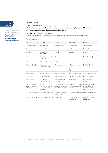

**Appendix A: Development of modern foreign language exponents** 

28 **Element: Writing Learning outcomes\*** *(From the Specification for Junior Cycle MFL)*

1.17 **Write words and create short sentences using various media on everyday topics with accuracy** 1.21 **Fill out forms relevant to their age group and experience**

**Competences** *(Informed by the CEFR)*

Students can use an online booking site in the target language or make a booking via the phone

| Sample exponents:                                   |                                                                          |                                                                       |                                                        |                                                                            |  |
|-----------------------------------------------------|--------------------------------------------------------------------------|-----------------------------------------------------------------------|--------------------------------------------------------|----------------------------------------------------------------------------|--|
| English                                             | German                                                                   | Italian                                                               | Spanish                                                | French                                                                     |  |
| Departing from                                      | Abfahrt von                                                              | In partenza da                                                        | Salida desde                                           | Au départ de                                                               |  |
| Destination                                         | Reiseziel                                                                | Destinazione                                                          | Destino                                                | Destination                                                                |  |
| Arriving                                            | ankommen/<br>Ankunft                                                     | In arrivo                                                             | Llegada                                                | À l'arrivée…                                                               |  |
| Name                                                | Name/Vorname/<br>Nachname                                                | Nome                                                                  | Nombre                                                 | Nom (Prénom)                                                               |  |
| Address                                             | Adresse/Anschrift                                                        | Indirizzo                                                             | Dirección                                              | Adresse                                                                    |  |
| Number of nights                                    | Anzahl der<br>Übernachtungen                                             | Numero di notti                                                       | Número de noches                                       | Nombre de nuits                                                            |  |
| Insurance                                           | Versicherung                                                             | Assicurazione                                                         | Seguro                                                 | Assurance                                                                  |  |
| Select/choose                                       | wählen/aussuchen                                                         | Seleziona/scegli                                                      | Seleccionar/escoger                                    | Sélectionner/choisir                                                       |  |
| Date of birth                                       | Geburtsdatum                                                             | Data di nascita                                                       | Fecha de nacimiento Date de naissance                  |                                                                            |  |
| Male/female                                         | geschlecht -<br>männlich/weiblich                                        | Sesso maschile/<br>femminile                                          | Hombre/mujer                                           | Sexe: masculin/<br>féminin                                                 |  |
| Last year I went<br>with my family on<br>holiday to | letztes Jahr bin ich<br>mit meiner Familie<br>in Urlaub nach<br>gefahren | L'anno scorso sono<br>andato/a con la mia<br>famiglia in vacanza<br>a | El año pasado fui de<br>vacaciones con mi<br>familia a | L'année dernière<br>je suis allé(e) en<br>vacances en/à<br>avec ma famille |  |
| The hotel was huge                                  | Das Hotel war groß                                                       | L'hotel era enorme/<br>grandissimo                                    | El hotel era enorme                                    | L'hôtel était énorme                                                       |  |
|                                                     | The food is delicious Das Essen ist lecker                               | Il cibo è squisito                                                    | La comida es<br>buenísima                              | La nourriture est<br>délicieuse                                            |  |

<sup>\*</sup> Note that the words in bold indicate the aspects of the learning outcomes in focus.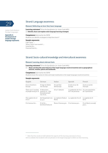

**Appendix A: Development of modern foreign language exponents** 

## 29 Strand: Language awareness

#### **Element: Reflecting on how they learn language**

**Learning outcomes\*** *(From the Specification for Junior Cycle MFL)* 2.6 **Identify, share and explain some language learning strategies**

**Competences** *(Informed by the CEFR)* Students can identify strategies to help them learn<sup>10</sup>

#### **Sample exponents:**

I like using ….. When I learn new words I…. I practise by…. I learned how to…

### Strand: Socio-cultural knowledge and intercultural awareness

#### **Element: Learning about relevant facts**

**Learning outcomes\*** *(From the Specification for Junior Cycle MFL)*

3.1 **Name and describe some features of the target language country/countries such as geographical features, weather, places and landmarks**

#### **Competences** *(Informed by the CEFR)*

Students know the names of cities and major landmarks in the target language country/countries

#### **Sample exponents:**

| English                                                              | German                         | Italian                                                                | Spanish                                                     | French                        |
|----------------------------------------------------------------------|--------------------------------|------------------------------------------------------------------------|-------------------------------------------------------------|-------------------------------|
| X is in Southern<br>Europe                                           | X liegt im Süden<br>von Europa | X è nel Sud<br>dell'Europa                                             | X está al sur de<br>Europa                                  | X est au sud de<br>l'Europe   |
| There are Y number X Menschen<br>of people living in X wohnen in/Die | Einwohnerzahl<br>von X ist     | X ha Y abitanti                                                        | La población de X es X a une population<br>de Y de personas | de Y personnes                |
| The capital city of<br>X is Z                                        | X ist Z                        | die Hauptstadt von La capitale d'Italia è La capital de X es Z<br>Roma |                                                             | La capitale de X<br>est Z     |
| X is famous for                                                      | X ist für<br>berühmt/bekannt   | Roma è famosa per X es famosa por                                      |                                                             | X est (bien) connu(e)<br>pour |

10 It is unlikely that students will use phrases in the target language to reflect on their learning.

<sup>\*</sup> Note that the words in bold indicate the aspects of the learning outcomes in focus.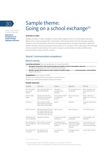

**Appendix A: Development of modern foreign language exponents** 

## Sample theme: Going on a school exchange $11$

#### **Activities or tasks:**

Sample activities or tasks: Complete a mock online enquiry form for an exchange; role-play a Skype call in target language (TL); conversation with family about how the exchange is going; research and use information about the exchange destination; role-play interactions with host family; role-play school and classroom interactions in TL country; write a blog about the exchange; write an email to host family in TL country; prepare a presentation on cultural differences between home country and TL country…

#### Strand: Communicative competence

#### **Element: Listening**

**Learning outcomes** *(From the Specification for Junior Cycle MFL)*

- 1.2 **Recognise frequently used words and phrases related to areas of immediate relevance** and experience, including the language of routine classroom interactions
- 1.3 **Identify specific information in texts related to familiar topics** such as **announcements, conversations,**  simple news items

#### **Competences** *(Informed by the CEFR)*

Students can understand the main point in announcements Students can understand (and give) simple instructions

#### **Sample exponents:**

| English                                  | German                                                                                                                    | Italian                                               | Spanish                                                            | French                                                            |
|------------------------------------------|---------------------------------------------------------------------------------------------------------------------------|-------------------------------------------------------|--------------------------------------------------------------------|-------------------------------------------------------------------|
| We will collect<br>you at the<br>station | Wir holen Sie/dich am<br>Bahnhof/ZOB ab.                                                                                  | Venjamo a<br>prenderti alla<br>stazione               | Te recogeremos en<br>la estación                                   | Nous viendrons te/<br>vous chercher à la<br>gare                  |
| Set the table<br>please                  | Decken Sie bitte den<br>Tisch/Kannst du bitte<br>den Tisch decken?                                                        | Vuoi apparecchiare<br>la tavola, per<br>favore?       | Pon la mesa, por<br>favor                                          | Mets / Mettez la<br>table s'il te / s'il vous<br>plait            |
| Sit down                                 | Setzen Sie sich/Setz<br>dich//Nehmen Sie bitte<br>Platz/Nimm bitte Platz                                                  | Siediti                                               | Siéntate                                                           | Assieds-toi/Asseyez-<br><b>VOUS</b>                               |
| Open the door                            | Machen Sie bitte die Tür Apri la porta<br>auf/ Mach bitte die Tür<br>auf//Öffnen Sie bitte die<br>Tür/Öffne bitte die Tür |                                                       | Abre la puerta                                                     | Ouvre(z) la porte                                                 |
| Mobile phones<br>are not allowed         | Handys Verboten!                                                                                                          | È vietato l'uso del<br>telefonino                     | Los móviles están<br>prohibidos                                    | Les portables sont<br>interdits                                   |
| school                                   | We will meet at Wir treffen uns um 8<br>8am outside the Uhr vor der Schule.                                               | Ci vediamo fuori<br>della scuola alle 8 di<br>mattina | Quedamos en la<br>puerta del colegio<br>a las ocho de la<br>mañana | On se retrouve / se<br>retrouvera devant<br>l'école à huit heures |
| The school will<br>be closed             | Die Schule wird<br>geschlossen sein                                                                                       | La scuola sarà<br>chiusa                              | El colegio estará<br>cerrado                                       | L'école sera fermée                                               |

<sup>11</sup> In this sample theme, the CEFR competences are mainly at A2 level.

<sup>\*</sup> Note that the words in bold indicate the aspects of the learning outcomes in focus.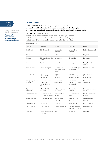

**Appendix A: Development of modern foreign language exponents** 

31 **Element: Reading Learning outcomes\*** *(From the Specification for Junior Cycle MFL)*

- 1.7 **Identify specific information** in a range of texts **dealing with familiar topics**
- 1.8 **Source and use authentic texts to explore topics of relevance through a range of media**

**Competences** *(Informed by the CEFR)*

Students can search for and find specific information in everyday material Students can understand regulations when expressed in simple language Students can isolate the information required from a brochure or website

| Sample exponents:           |                                                              |                                                  |                                                   |                                              |  |
|-----------------------------|--------------------------------------------------------------|--------------------------------------------------|---------------------------------------------------|----------------------------------------------|--|
| English                     | German                                                       | Italian                                          | Spanish                                           | French                                       |  |
| Host family                 | Die Gastfamilie                                              | La famiglia<br>ospitante                         | La familia de<br>acogida                          | La famille d'accueil                         |  |
| Profile                     | Das Profil                                                   | Il Profilo                                       | El perfil                                         | Le profil                                    |  |
| Deposit                     | Die Anzahlung/Das La cauzione<br>Pfand                       |                                                  | El depósito                                       | Les arrhes                                   |  |
| Rules                       | Regeln                                                       | Le regole                                        | Las reglas                                        | Le règlement<br>scolaire                     |  |
| Pocket money                | Das Taschengeld                                              | Il denaro per le<br>piccole spese/La<br>paghetta | La semanada, paga<br>para gastos                  | L'argent de poche                            |  |
| Daily, weekly,<br>monthly   | täglich,<br>wöchentlich.<br>monatlich                        | Giornaliero,<br>settimanale.<br>mensile          | A diario,<br>semanalmente.<br>mensualmente        | Quotidien(ne)<br>hebdomadaire<br>mensuel(le) |  |
| Emergency contact<br>number | Die Notrufnummer<br>ist/Im Notfall<br>melden Sie sich<br>bei | Il numero di<br>emergenza                        | Un número de<br>contacto en caso de<br>emergencia | Le numéro<br>d'urgence                       |  |
| If you need<br>assistance   | Wenn Sie Hilfe<br>brauchen                                   | Se hai bisogno di<br>assistenza                  | Si necesitas<br>asistencia                        | Si yous avez besoin<br>d'aide                |  |
| Travel documents            | Die Reisepapiere/<br>Die Reisedokumente viaggio              | I documenti di                                   | Los documentos de<br>viaje                        | Les documents de<br>voyage                   |  |
| Internet search             | Die Internetsuche                                            | La ricerca su<br>Internet                        | Búsqueda por<br>internet                          | Une recherche<br>internet                    |  |
| It is forbidden to          | ist verboten!                                                | È vietato                                        | Está prohibido                                    | Il est interdit de                           |  |
| Email address               | E-Mail-Adresse                                               | L' Indirizzo e-mail                              | Una dirección de<br>correo electrónico            | L'adresse e-mail                             |  |
| Timetable                   | Der Fahrplan (travel L'orario<br>timetable)                  |                                                  | El horario                                        | L'horaire                                    |  |

<sup>\*</sup> Note that the words in bold indicate the aspects of the learning outcomes in focus.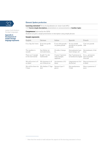

**Appendix A: Development of modern foreign language exponents** 

**32 Element: Spoken production**<br> **Learning outcomes\*** *(From the Specification for Junior Cycle MFL)* 1.10 **Convey simple descriptions**, presentations or announcements on **familiar topics**

> **Competences** *(Informed by the CEFR)* Students can give a simple presentation or description using simple phrases

| Sample exponents:                        |                                   |                                                  |                                                |                                                  |  |  |
|------------------------------------------|-----------------------------------|--------------------------------------------------|------------------------------------------------|--------------------------------------------------|--|--|
| English                                  | German                            | Italian                                          | Spanish                                        | French                                           |  |  |
| It is a big city/town                    | Es ist eine große<br>Stadt        | $\dot{E}$ una città grande /<br>un paese grande  | Es una ciudad<br>grande/es un pueblo<br>grande | C'est une grande<br>ville                        |  |  |
| The weather is<br>usually                | Das Wetter ist<br>normalerweise   | Di solito, il tempo<br>fa                        | Normalmente hace<br>buen tiempo, sol           | Normalement, il fait<br>beau                     |  |  |
| There are Y people<br>in the host family | Es gibt Y in der<br>Gastfamilie   | Ci sono Y persone<br>nella famiglia<br>ospitante | Hay Y personas en<br>la familia de acogida     | Il y a personnes<br>dans la famille<br>d'accueil |  |  |
| We will arrive in X<br>on (date)         | Wir kommen in X<br>am (+Datum) an | Arriveremo a X il<br>(data)                      | Llegaremos en X el<br>dia (fecha)              | Nous arriverons à X<br>le (date)                 |  |  |
| We will be there for<br>Y days           | Wir bleiben Y Tage<br>dort        | Saremo lì per Y<br>giorni                        | Nos quedaremos<br>Y días                       | Nous y passerons Y<br>jours                      |  |  |

<sup>\*</sup> Note that the words in bold indicate the aspects of the learning outcomes in focus.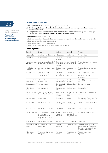

**Appendix A: Development of modern foreign language exponents** 

**Element: Spoken interaction**<br> **Learning outcomes\*** *(From the Specification for Junior Cycle MFL)* 

- 1.12 **Use simple polite forms in formal and informal situations** such as greetings, thanks, **introductions** and respond appropriately
- 1.15 **Take part in routine classroom interactions such as pair and group work,** asking questions, language games and activities, **asking for help and repetition where necessary**

#### **Competences** *(Informed by the CEFR)*

Students can engage in routine social interactions and ask for repetition or clarification to aid understanding Students can make and respond to suggestions

Students can agree and disagree with others

Students can manage simple and routine exchanges in the classroom

#### **Sample exponents:**

4

| English                           | German                                                                                                                                                    | Italian                                                 | Spanish                                    | French                                                                                                                          |
|-----------------------------------|-----------------------------------------------------------------------------------------------------------------------------------------------------------|---------------------------------------------------------|--------------------------------------------|---------------------------------------------------------------------------------------------------------------------------------|
| My name is                        | Ich heiße Mein Name ist Mi chiamo                                                                                                                         |                                                         | Me llamo                                   | Je m'appelle                                                                                                                    |
| I come from                       | Ich komme aus                                                                                                                                             | Vengo da /<br>Sono di                                   | Soy de                                     | Je viens de                                                                                                                     |
| student                           | I am an exchange Ich bin Austauschschüler/<br>Ich bin Austauschschülerin studentessa di un intercambio                                                    | scambio                                                 | Sono studente / Estoy hacienda             | Je suis étudiant(e) en échange<br>scolaire                                                                                      |
| a month                           | I will be here for Ich verbringe einen Monat Sarò qui per un Me quedaré un<br>hier                                                                        | mese                                                    | mes                                        | Je resterai/serai ici pour un<br>mois                                                                                           |
| Can you speak a<br>little slower? | Können Sie/Kannst du<br>ein bisschen langsamer<br>sprechen bitte?                                                                                         | Può parlare<br>un po' più<br>lentamente?                | ¿Puedes hablar<br>un poco más<br>despacio? | Pourriez-vous parler plus<br>lentement?<br>Peux-tu parler plus<br>lentement?                                                    |
| I'm sorry I don't<br>understand   | Es tut mir Leid. ich<br>verstehe nicht.                                                                                                                   | Mi dispiace, ma Disculpa, no<br>non ho capito. entiendo |                                            | Désolé(e), je ne comprends<br>pas.                                                                                              |
| How do you say? Wie sagt man?     |                                                                                                                                                           | in italiano?                                            |                                            | Come si dice X ; Cómo se dice? Comment dit-on?                                                                                  |
| What does X<br>mean?              | Was bedeutet X?                                                                                                                                           | Cosa significa<br>X?                                    | ¿Qué significa<br>X?                       | Que signifie X?                                                                                                                 |
| you help me?                      | Excuse me could Entschuldigen Sie bitte,<br>können Sie mir helfen?                                                                                        | Scusi, mi può<br>aiutare per<br>favore?                 | Perdón,; podría<br>ayudarme por<br>favor?  | Excusez- moi, pourriez-vous<br>m'aider?                                                                                         |
| It is your turn                   | Du bist dran                                                                                                                                              | Tocca a te.                                             | Te toca                                    | C'est ton tour / votre tour / à<br>toi / à vous maintenant                                                                      |
|                                   | Can I ask you? Darf ich bitte fragen                                                                                                                      | Posso chiederti ¿Puedo<br>/chiederLe?  preguntar?       |                                            | Puis-je te/ vous demander?                                                                                                      |
| May I go first?                   | Darf ich zuerst (+verb)                                                                                                                                   | Posso andare<br>prima?                                  | Puedo pasar،<br>primero?                   | Est-ce que moi je peux<br>commencer?                                                                                            |
|                                   | I agree/ disagree Ich stimme zu/ich bin auch Sono d'accordo/ Estoy de<br>der Meinung<br>Ich bin damit nicht<br>einverstanden/Ich bin<br>nicht der Meinung | Non sono<br>d'accordo                                   | acuerdo/No<br>estoy de acuerdo             | Je (ne) suis (pas) d'accord                                                                                                     |
| In my opinion                     | Meiner Meinung nach                                                                                                                                       | Secondo me                                              | En mi opinión                              | A mon avis                                                                                                                      |
| there?                            | How will you get Wie kommt man am<br>besten dahin?                                                                                                        | Come ci<br>arriverai?                                   | allí?                                      | ¿Cómo vas hasta  Comment est-ce que tu y<br>arriveras / vous y arriverez<br>Comment vas-tu y arriver /<br>allez-vous y arriver? |
| What time is<br>lunch at?         | Um wie viel Uhr ist das<br>Mittagessen?                                                                                                                   | A che ora è il<br>pranzo?                               | ¿A qué hora se<br>come?                    | À quelle heure est le<br>déjeuner?                                                                                              |

<sup>\*</sup> Note that the words in bold indicate the aspects of the learning outcomes in focus.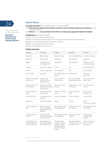

**Appendix A: Development of modern foreign language exponents** 

**Sample exponents:**

34 **Element: Writing Learning outcomes\*** *(From the Specification for Junior Cycle MFL)*

1.20 **Write short descriptions of past, present and future events, activities and personal experiences** as well as imaginative texts

1.22 **Produce** and edit **texts and interact with others in writing using appropriate digital technologies**

**Competences** *(Informed by the CEFR)*

Students can write short simple blog entries

Students can send short simple emails and text messages to convey important information

Students can write short simple emails expressing thanks

Students can use the past and future tenses

Students can describe events in the past

| English                                                       | German                                                             | Italian                                                                                                | Spanish                                                        | French                                            |
|---------------------------------------------------------------|--------------------------------------------------------------------|--------------------------------------------------------------------------------------------------------|----------------------------------------------------------------|---------------------------------------------------|
| Blog entry                                                    | Blog-Eintrag                                                       | Il post sul blog                                                                                       | Una entrada de blog                                            | Le billet d'un blog                               |
| Click here                                                    | Hier klicken                                                       | Clicca qui                                                                                             | Haz clic aquí                                                  | Cliquez ici                                       |
| Update                                                        | Das Update (n)<br>aktualisieren (v)                                | Aggiornare                                                                                             | Actualización                                                  | Mettre à jour (v)<br>La mise à jour (n)           |
| I will go                                                     | Ich werde gehen                                                    | Andrò                                                                                                  | Tré                                                            | Je vais aller/J'irai                              |
| I went                                                        | Ich bin gegangen                                                   | Sono andato/a                                                                                          | Fui                                                            | Je suis allé(e)                                   |
| See you later                                                 | bis später                                                         | Ci vediamo dopo / A Hasta luego<br>presto                                                              |                                                                | À bientôt!<br>à plus tard                         |
| There is a meeting<br>after school                            | Es gibt nach<br>der Schule eine<br>Besprechung                     | C'è un incontro<br>dopo scuola                                                                         | Hay una reunión<br>después del colegio                         | Il y a une réunion<br>après l'école               |
| I will be late home<br>this evening                           | ich komme heute<br>Abend etwas später<br>nach Hause                | Sarò tardi a casa<br>stasera                                                                           | Llegaré tarde a casa<br>esta noche                             | Je rentrerai tard<br>ce soir                      |
| I will get the last<br>train                                  | Ich fahre mit dem<br>letzten Zug                                   | Prenderò l'ultimo<br>treno                                                                             | Cogeré el último<br>tren                                       | Je prendrai le<br>dernier train                   |
| I missed the bus                                              | ich habe den Bus<br>verpasst                                       | Ho perso l'autobus                                                                                     | Perdí el autobús                                               | J'ai raté le bus                                  |
| Thank you                                                     | Herzlichen Dank                                                    | Grazie                                                                                                 | Gracias                                                        | Merci<br>Je te/vous remercie                      |
| I really enjoyed my<br>stay                                   | Der Austausch<br>hat mir viel Spaß<br>gemacht/sehr gut<br>gefallen | Mi è piaciuto molto<br>il mio soggiorno                                                                | Disfruté mucho de<br>mi estancia                               | J'ai beaucoup aimé<br>mon séjour.                 |
| I really improved<br>my(TL)                                   | Ich habe meine<br>Deutschkenntnisse<br>viel verbessert             | Ho migliorato molto<br>il mio italiano                                                                 | Mejoré mucho mi<br>español                                     | J'ai beaucoup<br>amélioré mon<br>français         |
| I would like to go<br>on/I like going on<br>this trip because | Ich möchte/ich<br>mache diese Reise/<br>Fahrt gern weil            | Mi piacerebbe<br>andare in questo<br>viaggio perché/<br>Mi piace andare<br>in questo viaggio<br>perché | Me gustaría hacer<br>este viaje / Me gusta<br>ir en este viaje | J'aimerais/J'aime<br>faire ce voyage<br>parce que |

<sup>\*</sup> Note that the words in bold indicate the aspects of the learning outcomes in focus.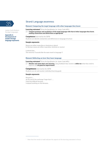

**Appendix A: Development of modern foreign language exponents** 

#### Strand: Language awareness

#### **Element: Comparing the target language with other languages they know**

**Learning outcomes\*** *(From the Specification for Junior Cycle MFL)*

2.5 **Compare grammar and vocabulary of the target language with that of other languages they know, making connections and distinctions as appropriate**

#### **Competences** *(Informed by the CEFR)*

Students can identify similarities and differences in language structure

#### **Sample exponents:**

Nouns are either masculine or feminine or plural In German nouns are either masculine, feminine or neutral

I noticed that... The word for X sounds like the same word in language Y

#### **Element: Reflecting on how they learn language**

**Learning outcomes\*** *(From the Specification for Junior Cycle MFL)*

2.7 **Monitor and assess their own learning**, using feedback they receive to **reflect on** what they need to improve and **set goals for improvement**

#### **Competences** *(Informed by the CEFR)* Students can set and monitor individual learning goals

#### **Sample exponents:**

My goal is …. At the end of the exchange I hope that I ….. I find this difficult because … I enjoyed working on this because…

<sup>\*</sup> Note that the words in bold indicate the aspects of the learning outcomes in focus.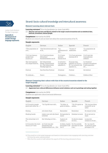

**Appendix A: Development of modern foreign language exponents** 

## 36 Strand: Socio-cultural knowledge and intercultural awareness

#### **Element: Learning about relevant facts**

**Learning outcomes\*** *(From the Specification for Junior Cycle MFL)*

3.2 **Discover and use facts and figures related to the target country/countries such as statistical data, festivals, inventions, famous people**

#### **Competences** *(Informed by the CEFR)*

Students can research and use basic facts about the country/countries of the TL

#### **Sample exponents:**

| English                                      | German                                                                           | Italian                                      | Spanish                                                                  | French                                                         |
|----------------------------------------------|----------------------------------------------------------------------------------|----------------------------------------------|--------------------------------------------------------------------------|----------------------------------------------------------------|
| <sup>12</sup> The population of<br>X is      | <sup>12</sup> Die Einwohnerzahl von<br>X ist                                     | $^{12}$ .a<br>popolazione di<br>Xè           | $12X$ tiene Y<br>habitantes                                              | $12$ La population de<br>X est                                 |
| Y & Z are famous<br>people from<br>country X | Y & Z sind berühmte<br>Menschen/<br>Persönlichkeiten aus X                       | Y e Z sono<br>persone<br>famose di X         | Y & Z son personas<br>famosas de X                                       | Y & Z sont des<br>francophones<br>célèbres                     |
| The most popular<br>(TL) singer/band is      | Der bekannteste<br>Sänger Deutschlands<br>ist/Die bekannteste<br>Musikgruppe ist | Il cantante /<br>il gruppo più<br>popolare è | El grupo más<br>popular en (TL) es/<br>El -La cantante más<br>popular es | Le chanteur/<br>groupe francophone<br>le plus populaire<br>est |
| Festival                                     | Das Fest/Das Festival                                                            | Il festival                                  | Festival                                                                 | Un festival                                                    |
| To celebrate                                 | Feiern                                                                           | Festeggiare                                  | Celebrar                                                                 | Célébrer/fêter                                                 |
|                                              |                                                                                  |                                              |                                                                          |                                                                |

#### **Element: Comparing their culture with that of the country/countries related to the target language**

**Learning outcomes\*** *(From the Specification for Junior Cycle MFL)*

#### 3.9 **Appreciate how cultural differences influence social relations, such as in greetings and eating together**

#### **Competences** *(Informed by the CEFR)*

Students can appreciate cultural and social differences

#### **Sample exponents:**

1

| English                                                  | German                                                      | Italian                                        | Spanish                                      | French                                                  |
|----------------------------------------------------------|-------------------------------------------------------------|------------------------------------------------|----------------------------------------------|---------------------------------------------------------|
| In X country people<br>greet each other by <sup>12</sup> | $12$ In X grüßt man sich                                    | <sup>12</sup> In Italia, la<br>gente si saluta | $12$ En X la gente se<br>saluda              | $12$ En /au/aux (dans<br>le pays) X, on se<br>salue:    |
| Kissing                                                  | mit einem Kuss                                              | Baciandosi                                     | Besándose                                    | En faisant la bise                                      |
| Shaking hands                                            | indem man sich die Hand<br>schüttelt                        | Stringendosi la<br>mano                        | Dándose la mano                              | En se serrant la<br>main                                |
| The school day in X<br>is                                | Der Schultag in X ist                                       | Il giorno di<br>scuola è                       | Un día de colegio<br>en X es                 | La journée<br>scolaire en X est                         |
| In X country the main<br>meal is at Y time               | in X isst man das<br>Hauptessen/die<br>Hauptmahlzeit um Uhr | In Italia, il pasto En X la comida<br>ore X    | principale è alle principal se come<br>a las | En / au / aux X.<br>on prend le repas<br>principal à Yh |

<sup>12</sup> This could be in the target language and based on information from engaging with learning outcome 3.2 from the socio-cultural strand.

<sup>\*</sup> Note that the words in bold indicate the aspects of the learning outcomes in focus.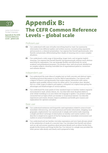

**Appendix B: The CEFR Common Reference Levels – global scale**

# **Appendix B:** The CEFR Common Reference Levels – global scale

### Proficient user

- **C2** Can understand with ease virtually everything heard or read. Can summarise information from different spoken and written sources, reconstructing arguments and accounts in a coherent presentation. Can express him/herself spontaneously, very fluently and precisely, differentiating finer shades of meaning even in more complex situations.
- **C1** Can understand a wide range of demanding, longer texts, and recognise implicit meaning. Can express him/herself fluently and spontaneously without much obvious searching for expressions. Can use language flexibly and effectively for social, academic and professional purposes. Can produce clear, well-structured, detailed text on complex subjects, showing controlled use of organisational patterns, connectors and cohesive devices.

#### Independent user

- **B2** Can understand the main ideas of complex text on both concrete and abstract topics, including technical discussions in his/her field of specialisation. Can interact with a degree of fluency and spontaneity that makes regular interaction with native speakers quite possible without strain for either party. Can produce clear, detailed text on a wide range of subjects and explain a viewpoint on a topical issue giving the advantages and disadvantages of various options.
- **B1** Can understand the main points of clear standard input on familiar matters regularly encountered in work, school, leisure, etc. Can deal with most situations likely to arise whilst travelling in an area where the language is spoken. Can produce simple connected text on topics which are familiar or of personal interest. Can describe experiences and events, dreams, hopes & ambitions and briefly give reasons and explanations for opinions and plans.

#### Basic user

- **A2** Can understand sentences and frequently used expressions related to areas of most immediate relevance (e.g. very basic personal and family information, shopping, local geography, employment). Can communicate in simple and routine tasks requiring a simple and direct exchange of information on familiar and routine matters. Can describe in simple terms aspects of his/her background, immediate environment and matters in areas of immediate need.
- **A1** Can understand and use familiar everyday expressions and very basic phrases aimed at the satisfaction of needs of a concrete type. Can introduce him/herself and others and can ask and answer questions about personal details such as where he/she lives, people he/she knows and things he/she has. Can interact in a simple way provided the other person talks slowly and clearly and is prepared to help.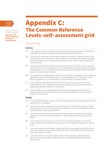

**Appendix C: The Common Reference Levels–selfassessment grid**

# **Appendix C:** The Common Reference Levels–self–assessment grid

## Understanding

#### **Listening**

- A1 I can recognise familiar words and very basic phrases concerning myself, my family and immediate concrete surroundings when people speak slowly and clearly.
- A2 I can understand phrases and the highest frequency vocabulary related to areas of most immediate personal relevance (e.g. very basic personal and family information, shopping, local area, employment). I can catch the main point in short, clear, simple messages and announcements.
- B1 I can understand the main points of clear standard speech on familiar matters regularly encountered in work, school, leisure, etc. I can understand the main point of many radio or TV programmes on current affairs or topics of personal or professional interest when the delivery is relatively slow and clear.
- B2 I can understand extended speech and lectures and follow even complex lines of argument provided the topic is reasonably familiar. I can understand most TV news and current affairs programmes. I can understand the majority of films in standard dialect.
- C1 I can understand extended speech even when it is not clearly structured and when relationships are only implied and not signalled explicitly. I can understand television programmes and films without too much effort.
- C2 I have no difficulty in understanding any kind of spoken language, whether live or broadcast, even when delivered at fast native speed, provided I have some time to get familiar with the accent.

#### **Reading**

- A1 I can understand familiar names, words and very simple sentences, for example on notices and posters or in catalogues.
- A2 I can read very short, simple texts. I can find specific, predictable information in simple everyday material such as advertisements, prospectuses, menus and timetables and I can understand short simple personal letters.
- B1 I can understand texts that consist mainly of high frequency everyday or job-related language. I can understand the description of events, feelings and wishes in personal letters.
- B2 I can read articles and reports concerned with contemporary problems in which the writers adopt particular attitudes or viewpoints. I can understand contemporary literary prose.
- C1 I can understand long and complex factual and literary texts, appreciating distinctions of style. I can understand specialised articles and longer technical instructions, even when they do not relate to my field.
- C2 I can read with ease virtually all forms of the written language, including abstract, structurally or linguistically complex texts such as manuals, specialised articles and literary works.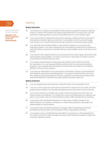

**Appendix C: The Common Reference Levels–selfassessment grid**

### Speaking

#### **Spoken interaction**

- A1 I can interact in a simple way provided the other person is prepared to repeat or rephrase things at a slower rate of speech and help me formulate what I'm trying to say. I can ask and answer simple questions in areas of immediate need or on very familiar topics.
- A2 I can communicate in simple and routine tasks requiring a simple and direct exchange of information on familiar topics and activities. I can handle very short social exchanges, even though I can't usually understand enough to keep the conversation going myself.
- B1 I can deal with most situations likely to arise whilst travelling in an area where the language is spoken. I can enter unprepared into conversation on topics that are familiar, of personal interest or pertinent to everyday life (e.g. family, hobbies, work, travel and current events).
- B2 I can interact with a degree of fluency and spontaneity that makes regular interaction with native speakers quite possible. I can take an active part in discussion in familiar contexts, accounting for and sustaining my views.
- C1 I can express myself fluently and spontaneously without much obvious searching for expressions. I can use language flexibly and effectively for social and professional purposes. I can formulate ideas and opinions with precision and relate my contribution skilfully to those of other speakers.
- C2 I can take part effortlessly in any conversation or discussion and have a good familiarity with idiomatic expressions and colloquialisms. I can express myself fluently and convey finer shades of meaning precisely. If I do have a problem I can backtrack and restructure around the difficulty so smoothly that other people are hardly aware of it.

#### **Spoken production**

- A1 I can use simple phrases and sentences to describe where I live and people I know.
- A2 I can use a series of phrases and sentences to describe in simple terms my family and other people, living conditions, my educational background and my present or most recent job.
- B1 I can connect phrases in a simple way in order to describe experiences and events, my dreams, hopes and ambitions. I can briefly give reasons and explanations for opinions and plans. I can narrate a story or relate the plot of a book or film and describe my reactions.
- B2 I can present clear, detailed descriptions on a wide range of subjects related to my field of interest. I can explain a viewpoint on a topical issue giving the advantages and disadvantages of various options.
- C1 I can present clear, detailed descriptions of complex subjects integrating sub-themes, developing particular points and rounding off with an appropriate conclusion.
- C2 I can present a clear, smoothly-flowing description or argument in a style appropriate to the context and with an effective logical structure which helps the recipient to notice and remember significant points.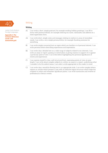

**Appendix C: The Common Reference Levels–selfassessment grid**

### Writing

#### **Writing**

- A1 I can write a short, simple postcard, for example sending holiday greetings. I can fill in forms with personal details, for example entering my name, nationality and address on a hotel registration form.
- A2 I can write short, simple notes and messages relating to matters in areas of immediate needs. I can write a very simple personal letter, for example thanking someone for something.
- B1 I can write simple connected text on topics which are familiar or of personal interest. I can write personal letters describing experiences and impressions.
- B2 I can write clear, detailed text on a wide range of subjects related to my interests. I can write an essay or report, passing on information or giving reasons in support of or against a particular point of view. I can write letters highlighting the personal significance of events and experiences
- C1 I can express myself in clear, well-structured text, expressing points of view at some length. I can write about complex subjects in a letter, an essay or a report, underlining what I consider to be the salient issues. I can select a style appropriate to the reader in mind.
- C2 I can write clear, smoothly-flowing text in an appropriate style. I can write complex letters, reports or articles which present a case with an effective logical structure which helps the recipient to notice and remember significant points. I can write summaries and reviews of professional or literary works.